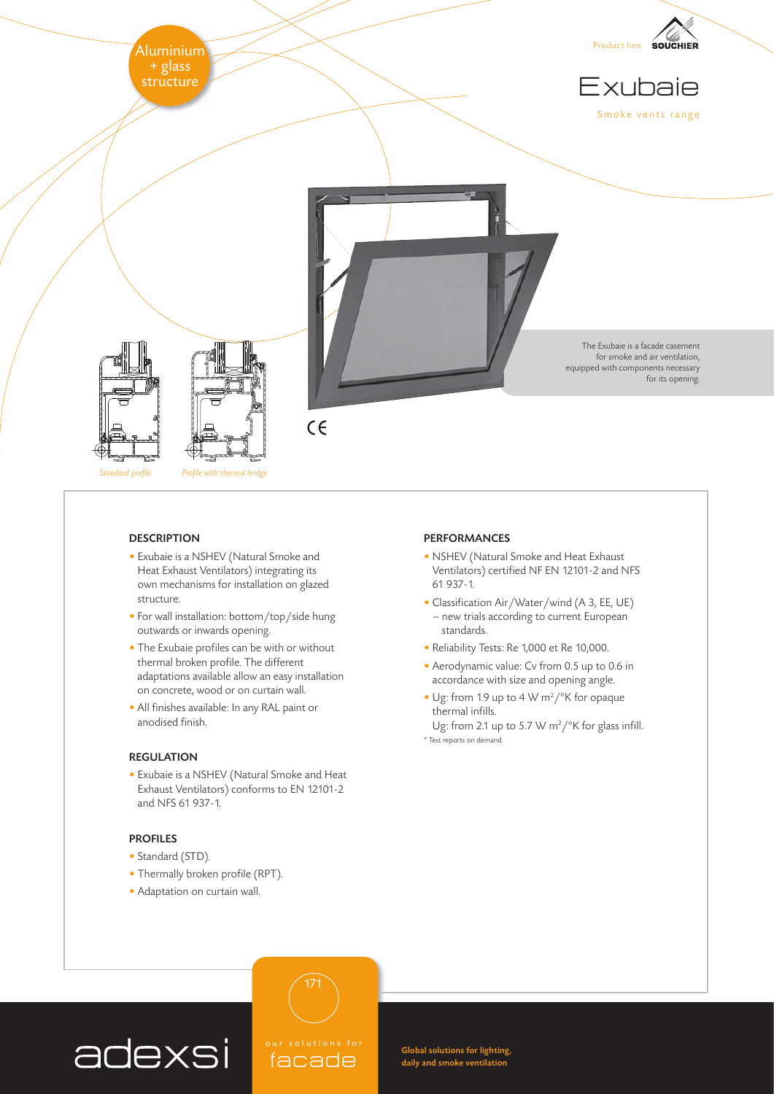

Standard profile Profile with thermal bridge

### **DESCRIPTION**

- Exubaie is a NSHEV (Natural Smoke and Heat Exhaust Ventilators) integrating its own mechanisms for installation on glazed structure.
- For wall installation: bottom/top/side hung outwards or inwards opening.
- The Exubaie profiles can be with or without thermal broken profile. The different adaptations available allow an easy installation on concrete, wood or on curtain wall.
- All finishes available: In any RAL paint or anodised finish.

## REGULATION

• Exubaie is a NSHEV (Natural Smoke and Heat Exhaust Ventilators) conforms to EN 12101-2 and NFS 61 937-1.

## PROFILES

- Standard (STD).
- Thermally broken profile (RPT).
- Adaptation on curtain wall.

#### PERFORMANCES

- NSHEV (Natural Smoke and Heat Exhaust Ventilators) certified NF EN 12101-2 and NFS 61 937-1.
- Classification Air/Water/wind (A 3, EE, UE) – new trials according to current European standards.
- Reliability Tests: Re 1,000 et Re 10,000.
- Aerodynamic value: Cv from 0.5 up to 0.6 in accordance with size and opening angle.
- Ug: from 1.9 up to 4 W m<sup>2</sup>/°K for opaque thermal infills.
- Ug: from 2.1 up to 5.7 W m<sup>2</sup>/ $\mathrm{K}$  for glass infill. \* Test reports on demand.

# adexsi

olutions<sup>1</sup> facade

171

Global solutions for lighting, daily and smoke ventilation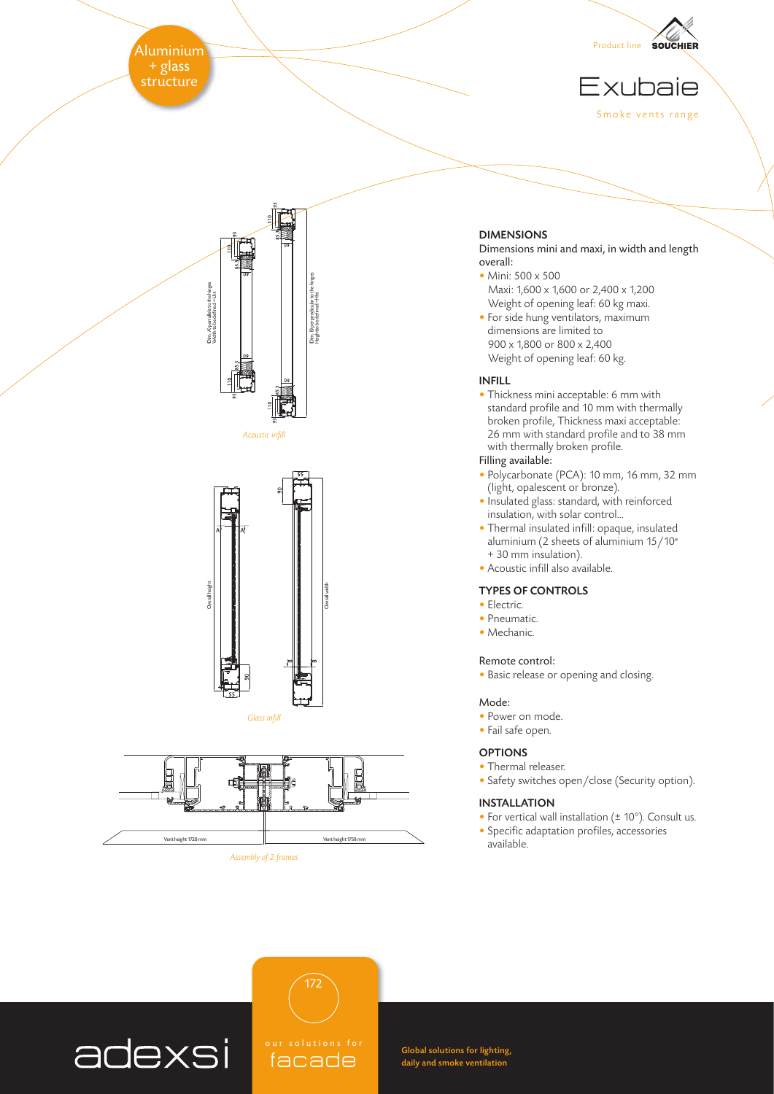Aluminium $\,$ + glass<br>stru<u>cture</u>



Exubaie Smoke vents range



Acoustic infill



Overall width

Glass infill



# DIMENSIONS

Dimensions mini and maxi, in width and length overall:

- Mini: 500 x 500 Maxi: 1,600 x 1,600 or 2,400 x 1,200 Weight of opening leaf: 60 kg maxi.
- For side hung ventilators, maximum dimensions are limited to 900 x 1,800 or 800 x 2,400 Weight of opening leaf: 60 kg.

## INFILL

• Thickness mini acceptable: 6 mm with standard profile and 10 mm with thermally broken profile, Thickness maxi acceptable: 26 mm with standard profile and to 38 mm with thermally broken profile.

# Filling available:

- Polycarbonate (PCA): 10 mm, 16 mm, 32 mm (light, opalescent or bronze).
- Insulated glass: standard, with reinforced insulation, with solar control…
- Thermal insulated infill: opaque, insulated aluminium (2 sheets of aluminium  $15/10^e$ + 30 mm insulation).
- Acoustic infill also available.

## TYPES OF CONTROLS

- Electric.
- Pneumatic.
- Mechanic.

#### Remote control:

• Basic release or opening and closing.

#### Mode:

- Power on mode.
- Fail safe open.

## **OPTIONS**

- Thermal releaser.
- Safety switches open/close (Security option).

## INSTALLATION

- For vertical wall installation (± 10°). Consult us.
- Specific adaptation profiles, accessories available.



Global solutions for lighting, daily and smoke ventilation